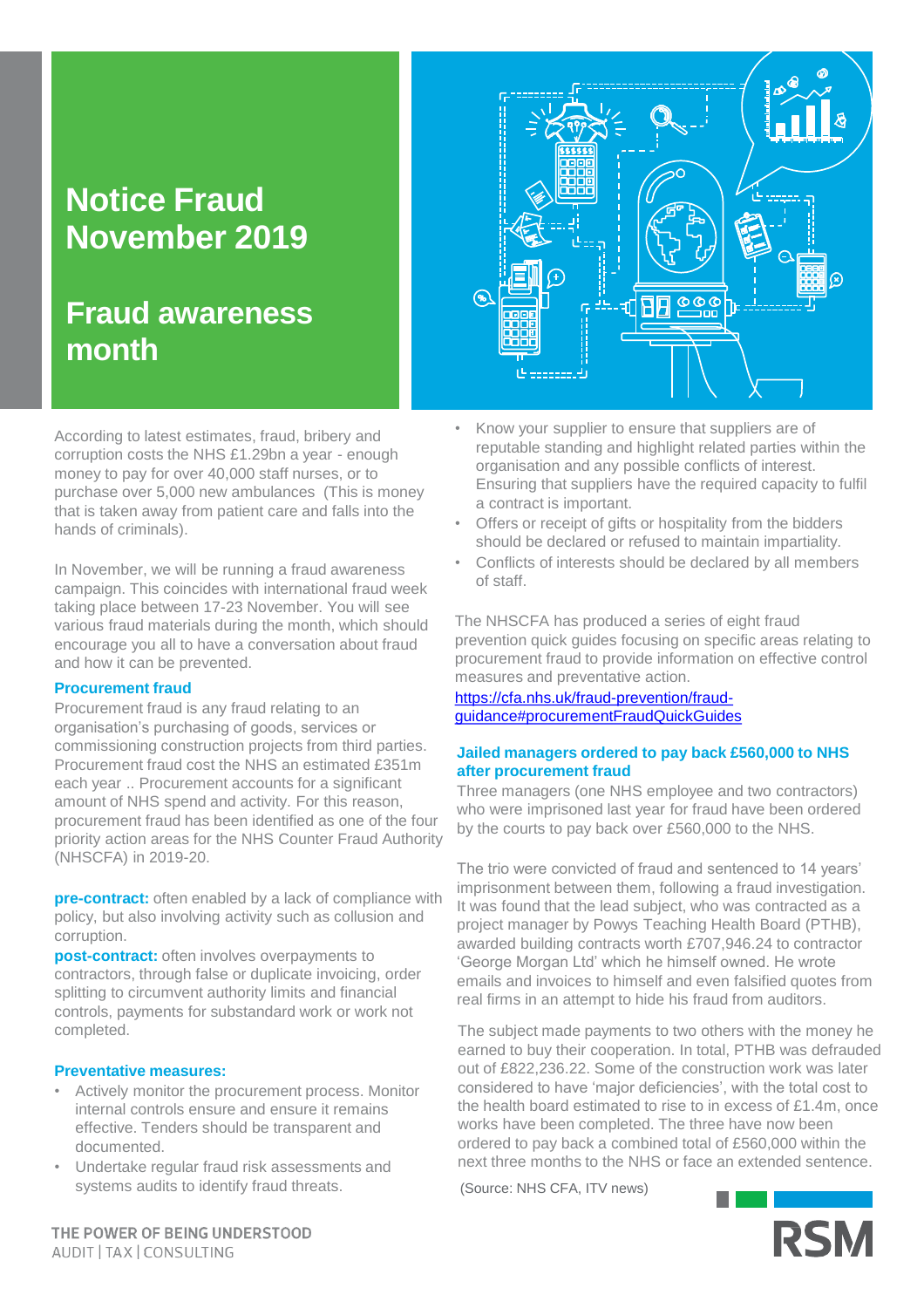# **Notice Fraud November 2019**

## **Fraud awareness month**

According to latest estimates, fraud, bribery and corruption costs the NHS £1.29bn a year - enough money to pay for over 40,000 staff nurses, or to purchase over 5,000 new ambulances (This is money that is taken away from patient care and falls into the hands of criminals).

In November, we will be running a fraud awareness campaign. This coincides with international fraud week taking place between 17-23 November. You will see various fraud materials during the month, which should encourage you all to have a conversation about fraud and how it can be prevented.

## **Procurement fraud**

Procurement fraud is any fraud relating to an organisation's purchasing of goods, services or commissioning construction projects from third parties. Procurement fraud cost the NHS an estimated £351m each year .. Procurement accounts for a significant amount of NHS spend and activity. For this reason, procurement fraud has been identified as one of the four priority action areas for the NHS Counter Fraud Authority (NHSCFA) in 2019-20.

**pre-contract:** often enabled by a lack of compliance with policy, but also involving activity such as collusion and corruption.

**post-contract:** often involves overpayments to contractors, through false or duplicate invoicing, order splitting to circumvent authority limits and financial controls, payments for substandard work or work not completed.

## **Preventative measures:**

- Actively monitor the procurement process. Monitor internal controls ensure and ensure it remains effective. Tenders should be transparent and documented.
- Undertake regular fraud risk assessments and systems audits to identify fraud threats.



- Know your supplier to ensure that suppliers are of reputable standing and highlight related parties within the organisation and any possible conflicts of interest. Ensuring that suppliers have the required capacity to fulfil a contract is important.
- Offers or receipt of gifts or hospitality from the bidders should be declared or refused to maintain impartiality.
- Conflicts of interests should be declared by all members of staff.

The NHSCFA has produced a series of eight fraud prevention quick guides focusing on specific areas relating to procurement fraud to provide information on effective control measures and preventative action.

https://cfa.nhs.uk/fraud-prevention/fraud[guidance#procurementFraudQuickGuides](https://cfa.nhs.uk/fraud-prevention/fraud-guidance#procurementFraudQuickGuides)

## **Jailed managers ordered to pay back £560,000 to NHS after procurement fraud**

Three managers (one NHS employee and two contractors) who were imprisoned last year for fraud have been ordered by the courts to pay back over £560,000 to the NHS.

The trio were convicted of fraud and sentenced to 14 years' imprisonment between them, following a fraud investigation. It was found that the lead subject, who was contracted as a project manager by Powys Teaching Health Board (PTHB), awarded building contracts worth £707,946.24 to contractor 'George Morgan Ltd' which he himself owned. He wrote emails and invoices to himself and even falsified quotes from real firms in an attempt to hide his fraud from auditors.

The subject made payments to two others with the money he earned to buy their cooperation. In total, PTHB was defrauded out of £822,236.22. Some of the construction work was later considered to have 'major deficiencies', with the total cost to the health board estimated to rise to in excess of £1.4m, once works have been completed. The three have now been ordered to pay back a combined total of £560,000 within the next three months to the NHS or face an extended sentence.

(Source: NHS CFA, ITV news)



THE POWER OF BEING UNDERSTOOD AUDIT | TAX | CONSULTING